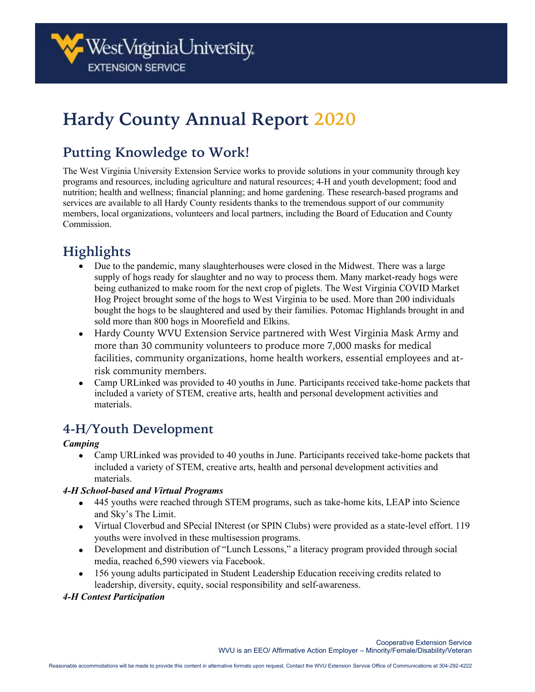# **Hardy County Annual Report 2020**

# **Putting Knowledge to Work!**

The West Virginia University Extension Service works to provide solutions in your community through key programs and resources, including agriculture and natural resources; 4-H and youth development; food and nutrition; health and wellness; financial planning; and home gardening. These research-based programs and services are available to all Hardy County residents thanks to the tremendous support of our community members, local organizations, volunteers and local partners, including the Board of Education and County Commission.

# **Highlights**

- Due to the pandemic, many slaughterhouses were closed in the Midwest. There was a large supply of hogs ready for slaughter and no way to process them. Many market-ready hogs were being euthanized to make room for the next crop of piglets. The West Virginia COVID Market Hog Project brought some of the hogs to West Virginia to be used. More than 200 individuals bought the hogs to be slaughtered and used by their families. Potomac Highlands brought in and sold more than 800 hogs in Moorefield and Elkins.
- Hardy County WVU Extension Service partnered with West Virginia Mask Army and more than 30 community volunteers to produce more 7,000 masks for medical facilities, community organizations, home health workers, essential employees and atrisk community members.
- Camp URLinked was provided to 40 youths in June. Participants received take-home packets that included a variety of STEM, creative arts, health and personal development activities and materials.

# **4-H/Youth Development**

#### *Camping*

• Camp URLinked was provided to 40 youths in June. Participants received take-home packets that included a variety of STEM, creative arts, health and personal development activities and materials.

#### *4-H School-based and Virtual Programs*

- 445 youths were reached through STEM programs, such as take-home kits, LEAP into Science and Sky's The Limit.
- Virtual Cloverbud and SPecial INterest (or SPIN Clubs) were provided as a state-level effort. 119 youths were involved in these multisession programs.
- Development and distribution of "Lunch Lessons," a literacy program provided through social media, reached 6,590 viewers via Facebook.
- 156 young adults participated in Student Leadership Education receiving credits related to leadership, diversity, equity, social responsibility and self-awareness.

#### *4-H Contest Participation*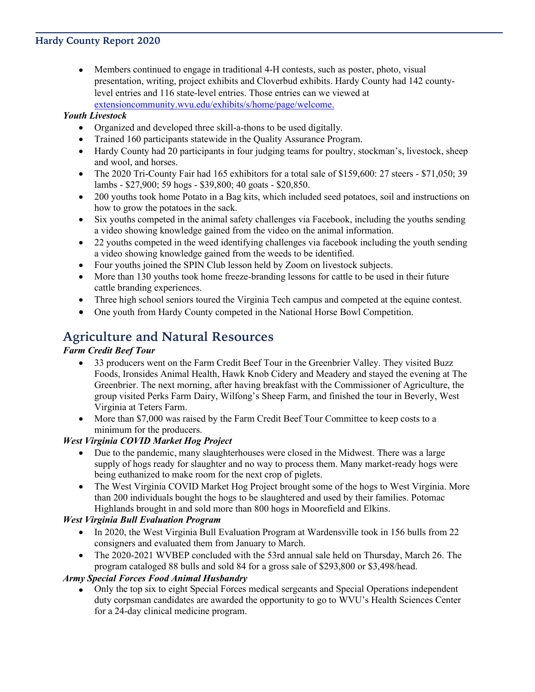#### **Hardy County Report 2020**

• Members continued to engage in traditional 4-H contests, such as poster, photo, visual presentation, writing, project exhibits and Cloverbud exhibits. Hardy County had 142 countylevel entries and 116 state-level entries. Those entries can we viewed at [extensioncommunity.wvu.edu/exhibits/s/home/page/welcome.](https://extensioncommunity.wvu.edu/exhibits/s/home/page/welcome)

#### *Youth Livestock*

- Organized and developed three skill-a-thons to be used digitally.
- Trained 160 participants statewide in the Quality Assurance Program.
- Hardy County had 20 participants in four judging teams for poultry, stockman's, livestock, sheep and wool, and horses.
- The 2020 Tri-County Fair had 165 exhibitors for a total sale of \$159,600: 27 steers \$71,050; 39 lambs - \$27,900; 59 hogs - \$39,800; 40 goats - \$20,850.
- 200 youths took home Potato in a Bag kits, which included seed potatoes, soil and instructions on how to grow the potatoes in the sack.
- Six youths competed in the animal safety challenges via Facebook, including the youths sending a video showing knowledge gained from the video on the animal information.
- 22 youths competed in the weed identifying challenges via facebook including the youth sending a video showing knowledge gained from the weeds to be identified.
- Four youths joined the SPIN Club lesson held by Zoom on livestock subjects.
- More than 130 youths took home freeze-branding lessons for cattle to be used in their future cattle branding experiences.
- Three high school seniors toured the Virginia Tech campus and competed at the equine contest.
- One youth from Hardy County competed in the National Horse Bowl Competition.

### **Agriculture and Natural Resources**

#### *Farm Credit Beef Tour*

- 33 producers went on the Farm Credit Beef Tour in the Greenbrier Valley. They visited Buzz Foods, Ironsides Animal Health, Hawk Knob Cidery and Meadery and stayed the evening at The Greenbrier. The next morning, after having breakfast with the Commissioner of Agriculture, the group visited Perks Farm Dairy, Wilfong's Sheep Farm, and finished the tour in Beverly, West Virginia at Teters Farm.
- More than \$7,000 was raised by the Farm Credit Beef Tour Committee to keep costs to a minimum for the producers.

#### *West Virginia COVID Market Hog Project*

- Due to the pandemic, many slaughterhouses were closed in the Midwest. There was a large supply of hogs ready for slaughter and no way to process them. Many market-ready hogs were being euthanized to make room for the next crop of piglets.
- The West Virginia COVID Market Hog Project brought some of the hogs to West Virginia. More than 200 individuals bought the hogs to be slaughtered and used by their families. Potomac Highlands brought in and sold more than 800 hogs in Moorefield and Elkins.

#### *West Virginia Bull Evaluation Program*

- In 2020, the West Virginia Bull Evaluation Program at Wardensville took in 156 bulls from 22 consigners and evaluated them from January to March.
- The 2020-2021 WVBEP concluded with the 53rd annual sale held on Thursday, March 26. The program cataloged 88 bulls and sold 84 for a gross sale of \$293,800 or \$3,498/head.

#### *Army Special Forces Food Animal Husbandry*

• Only the top six to eight Special Forces medical sergeants and Special Operations independent duty corpsman candidates are awarded the opportunity to go to WVU's Health Sciences Center for a 24-day clinical medicine program.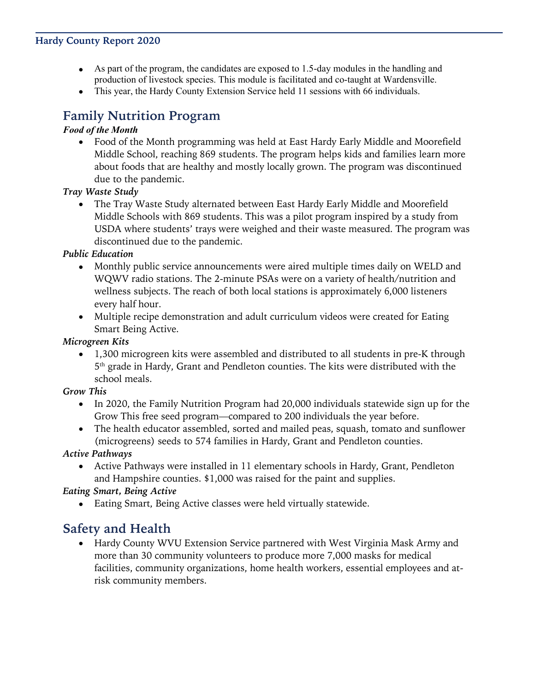#### **Hardy County Report 2020**

- As part of the program, the candidates are exposed to 1.5-day modules in the handling and production of livestock species. This module is facilitated and co-taught at Wardensville.
- This year, the Hardy County Extension Service held 11 sessions with 66 individuals.

### **Family Nutrition Program**

#### *Food of the Month*

• Food of the Month programming was held at East Hardy Early Middle and Moorefield Middle School, reaching 869 students. The program helps kids and families learn more about foods that are healthy and mostly locally grown. The program was discontinued due to the pandemic.

#### *Tray Waste Study*

• The Tray Waste Study alternated between East Hardy Early Middle and Moorefield Middle Schools with 869 students. This was a pilot program inspired by a study from USDA where students' trays were weighed and their waste measured. The program was discontinued due to the pandemic.

#### *Public Education*

- Monthly public service announcements were aired multiple times daily on WELD and WQWV radio stations. The 2-minute PSAs were on a variety of health/nutrition and wellness subjects. The reach of both local stations is approximately 6,000 listeners every half hour.
- Multiple recipe demonstration and adult curriculum videos were created for Eating Smart Being Active.

#### *Microgreen Kits*

• 1,300 microgreen kits were assembled and distributed to all students in pre-K through 5 th grade in Hardy, Grant and Pendleton counties. The kits were distributed with the school meals.

#### *Grow This*

- In 2020, the Family Nutrition Program had 20,000 individuals statewide sign up for the Grow This free seed program—compared to 200 individuals the year before.
- The health educator assembled, sorted and mailed peas, squash, tomato and sunflower (microgreens) seeds to 574 families in Hardy, Grant and Pendleton counties.

#### *Active Pathways*

• Active Pathways were installed in 11 elementary schools in Hardy, Grant, Pendleton and Hampshire counties. \$1,000 was raised for the paint and supplies.

#### *Eating Smart, Being Active*

• Eating Smart, Being Active classes were held virtually statewide.

## **Safety and Health**

• Hardy County WVU Extension Service partnered with West Virginia Mask Army and more than 30 community volunteers to produce more 7,000 masks for medical facilities, community organizations, home health workers, essential employees and atrisk community members.